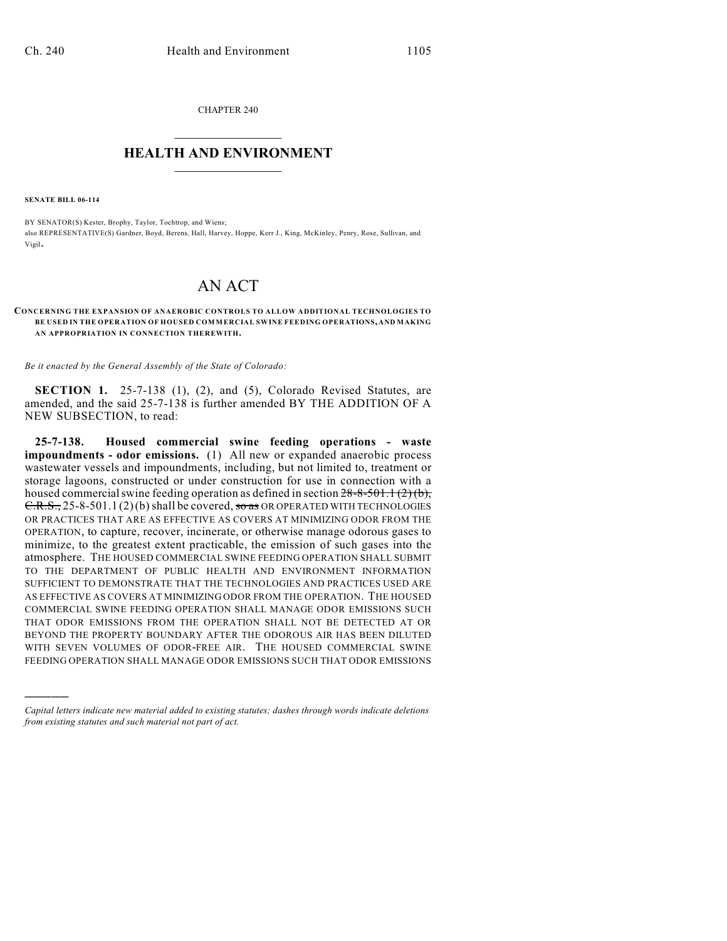CHAPTER 240  $\mathcal{L}_\text{max}$  . The set of the set of the set of the set of the set of the set of the set of the set of the set of the set of the set of the set of the set of the set of the set of the set of the set of the set of the set

## **HEALTH AND ENVIRONMENT**  $\_$

**SENATE BILL 06-114**

)))))

BY SENATOR(S) Kester, Brophy, Taylor, Tochtrop, and Wiens; also REPRESENTATIVE(S) Gardner, Boyd, Berens, Hall, Harvey, Hoppe, Kerr J., King, McKinley, Penry, Rose, Sullivan, and Vigil.

## AN ACT

## **CONCERNING THE EXPANSION OF ANAEROBIC CONTROLS TO ALLOW ADDITIONAL TECHNOLOGIES TO BE USED IN THE OPERATION OF HOUSED COMMERCIAL SWINE FEEDING OPERATIONS, AND MAKING AN APPROPRIATION IN CONNECTION THEREWITH.**

*Be it enacted by the General Assembly of the State of Colorado:*

**SECTION 1.** 25-7-138 (1), (2), and (5), Colorado Revised Statutes, are amended, and the said 25-7-138 is further amended BY THE ADDITION OF A NEW SUBSECTION, to read:

**25-7-138. Housed commercial swine feeding operations - waste impoundments - odor emissions.** (1) All new or expanded anaerobic process wastewater vessels and impoundments, including, but not limited to, treatment or storage lagoons, constructed or under construction for use in connection with a housed commercial swine feeding operation as defined in section  $28-8-501.1(2)(b)$ ,  $C.R.S., 25-8-501.1$  (2)(b) shall be covered, so as OR OPERATED WITH TECHNOLOGIES OR PRACTICES THAT ARE AS EFFECTIVE AS COVERS AT MINIMIZING ODOR FROM THE OPERATION, to capture, recover, incinerate, or otherwise manage odorous gases to minimize, to the greatest extent practicable, the emission of such gases into the atmosphere. THE HOUSED COMMERCIAL SWINE FEEDING OPERATION SHALL SUBMIT TO THE DEPARTMENT OF PUBLIC HEALTH AND ENVIRONMENT INFORMATION SUFFICIENT TO DEMONSTRATE THAT THE TECHNOLOGIES AND PRACTICES USED ARE AS EFFECTIVE AS COVERS AT MINIMIZING ODOR FROM THE OPERATION. THE HOUSED COMMERCIAL SWINE FEEDING OPERATION SHALL MANAGE ODOR EMISSIONS SUCH THAT ODOR EMISSIONS FROM THE OPERATION SHALL NOT BE DETECTED AT OR BEYOND THE PROPERTY BOUNDARY AFTER THE ODOROUS AIR HAS BEEN DILUTED WITH SEVEN VOLUMES OF ODOR-FREE AIR. THE HOUSED COMMERCIAL SWINE FEEDING OPERATION SHALL MANAGE ODOR EMISSIONS SUCH THAT ODOR EMISSIONS

*Capital letters indicate new material added to existing statutes; dashes through words indicate deletions from existing statutes and such material not part of act.*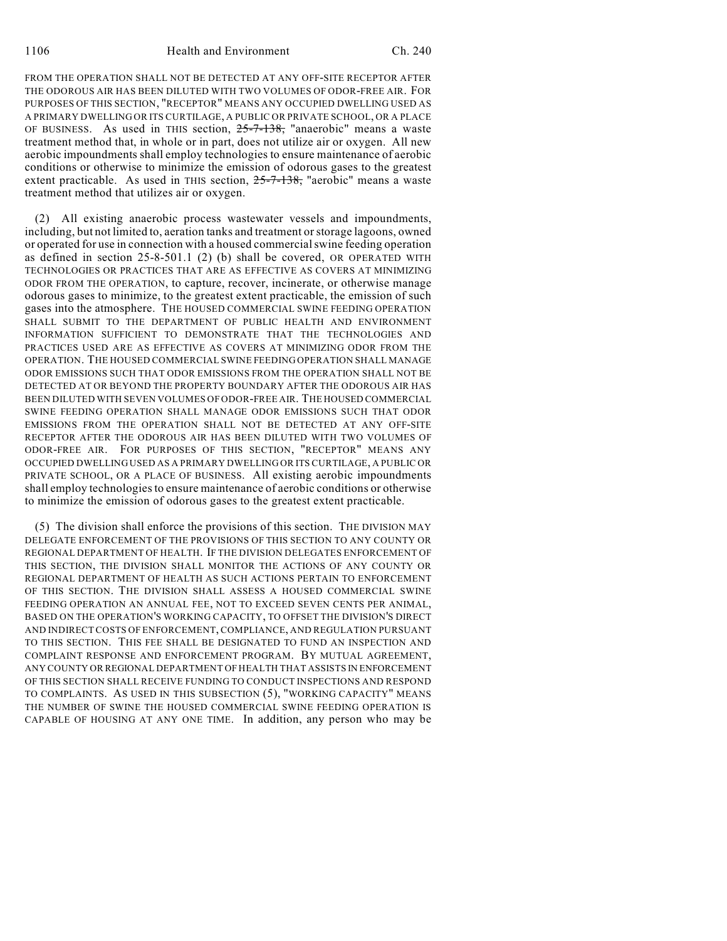FROM THE OPERATION SHALL NOT BE DETECTED AT ANY OFF-SITE RECEPTOR AFTER THE ODOROUS AIR HAS BEEN DILUTED WITH TWO VOLUMES OF ODOR-FREE AIR. FOR PURPOSES OF THIS SECTION, "RECEPTOR" MEANS ANY OCCUPIED DWELLING USED AS A PRIMARY DWELLING OR ITS CURTILAGE, A PUBLIC OR PRIVATE SCHOOL, OR A PLACE OF BUSINESS. As used in THIS section,  $25-7-138$ , "anaerobic" means a waste treatment method that, in whole or in part, does not utilize air or oxygen. All new aerobic impoundments shall employ technologies to ensure maintenance of aerobic conditions or otherwise to minimize the emission of odorous gases to the greatest extent practicable. As used in THIS section, 25-7-138, "aerobic" means a waste treatment method that utilizes air or oxygen.

(2) All existing anaerobic process wastewater vessels and impoundments, including, but not limited to, aeration tanks and treatment or storage lagoons, owned or operated for use in connection with a housed commercial swine feeding operation as defined in section 25-8-501.1 (2) (b) shall be covered, OR OPERATED WITH TECHNOLOGIES OR PRACTICES THAT ARE AS EFFECTIVE AS COVERS AT MINIMIZING ODOR FROM THE OPERATION, to capture, recover, incinerate, or otherwise manage odorous gases to minimize, to the greatest extent practicable, the emission of such gases into the atmosphere. THE HOUSED COMMERCIAL SWINE FEEDING OPERATION SHALL SUBMIT TO THE DEPARTMENT OF PUBLIC HEALTH AND ENVIRONMENT INFORMATION SUFFICIENT TO DEMONSTRATE THAT THE TECHNOLOGIES AND PRACTICES USED ARE AS EFFECTIVE AS COVERS AT MINIMIZING ODOR FROM THE OPERATION. THE HOUSED COMMERCIAL SWINE FEEDING OPERATION SHALL MANAGE ODOR EMISSIONS SUCH THAT ODOR EMISSIONS FROM THE OPERATION SHALL NOT BE DETECTED AT OR BEYOND THE PROPERTY BOUNDARY AFTER THE ODOROUS AIR HAS BEEN DILUTED WITH SEVEN VOLUMES OF ODOR-FREE AIR. THE HOUSED COMMERCIAL SWINE FEEDING OPERATION SHALL MANAGE ODOR EMISSIONS SUCH THAT ODOR EMISSIONS FROM THE OPERATION SHALL NOT BE DETECTED AT ANY OFF-SITE RECEPTOR AFTER THE ODOROUS AIR HAS BEEN DILUTED WITH TWO VOLUMES OF ODOR-FREE AIR. FOR PURPOSES OF THIS SECTION, "RECEPTOR" MEANS ANY OCCUPIED DWELLING USED AS A PRIMARY DWELLING OR ITS CURTILAGE, A PUBLIC OR PRIVATE SCHOOL, OR A PLACE OF BUSINESS. All existing aerobic impoundments shall employ technologies to ensure maintenance of aerobic conditions or otherwise to minimize the emission of odorous gases to the greatest extent practicable.

(5) The division shall enforce the provisions of this section. THE DIVISION MAY DELEGATE ENFORCEMENT OF THE PROVISIONS OF THIS SECTION TO ANY COUNTY OR REGIONAL DEPARTMENT OF HEALTH. IF THE DIVISION DELEGATES ENFORCEMENT OF THIS SECTION, THE DIVISION SHALL MONITOR THE ACTIONS OF ANY COUNTY OR REGIONAL DEPARTMENT OF HEALTH AS SUCH ACTIONS PERTAIN TO ENFORCEMENT OF THIS SECTION. THE DIVISION SHALL ASSESS A HOUSED COMMERCIAL SWINE FEEDING OPERATION AN ANNUAL FEE, NOT TO EXCEED SEVEN CENTS PER ANIMAL, BASED ON THE OPERATION'S WORKING CAPACITY, TO OFFSET THE DIVISION'S DIRECT AND INDIRECTCOSTS OF ENFORCEMENT, COMPLIANCE, AND REGULATION PURSUANT TO THIS SECTION. THIS FEE SHALL BE DESIGNATED TO FUND AN INSPECTION AND COMPLAINT RESPONSE AND ENFORCEMENT PROGRAM. BY MUTUAL AGREEMENT, ANY COUNTY OR REGIONAL DEPARTMENT OF HEALTH THAT ASSISTS IN ENFORCEMENT OF THIS SECTION SHALL RECEIVE FUNDING TO CONDUCT INSPECTIONS AND RESPOND TO COMPLAINTS. AS USED IN THIS SUBSECTION (5), "WORKING CAPACITY" MEANS THE NUMBER OF SWINE THE HOUSED COMMERCIAL SWINE FEEDING OPERATION IS CAPABLE OF HOUSING AT ANY ONE TIME. In addition, any person who may be